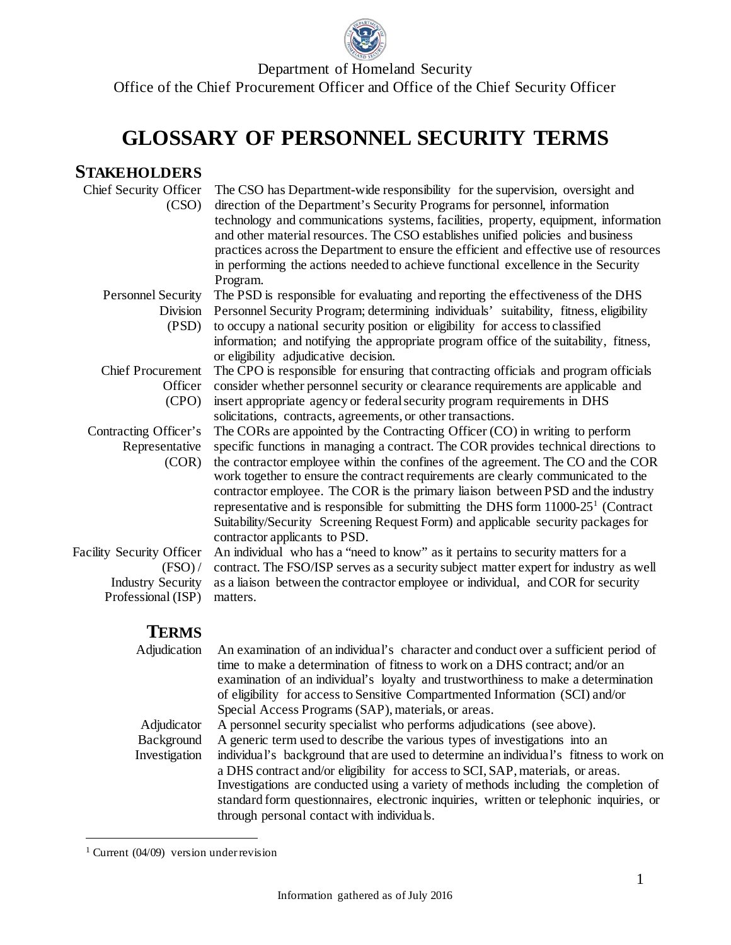

Department of Homeland Security Office of the Chief Procurement Officer and Office of the Chief Security Officer

## **GLOSSARY OF PERSONNEL SECURITY TERMS**

## **STAKEHOLDERS**

| Chief Security Officer<br>(CSO)  | The CSO has Department-wide responsibility for the supervision, oversight and<br>direction of the Department's Security Programs for personnel, information<br>technology and communications systems, facilities, property, equipment, information<br>and other material resources. The CSO establishes unified policies and business<br>practices across the Department to ensure the efficient and effective use of resources<br>in performing the actions needed to achieve functional excellence in the Security<br>Program.                              |  |  |
|----------------------------------|---------------------------------------------------------------------------------------------------------------------------------------------------------------------------------------------------------------------------------------------------------------------------------------------------------------------------------------------------------------------------------------------------------------------------------------------------------------------------------------------------------------------------------------------------------------|--|--|
| <b>Personnel Security</b>        | The PSD is responsible for evaluating and reporting the effectiveness of the DHS                                                                                                                                                                                                                                                                                                                                                                                                                                                                              |  |  |
| Division                         | Personnel Security Program; determining individuals' suitability, fitness, eligibility                                                                                                                                                                                                                                                                                                                                                                                                                                                                        |  |  |
| (PSD)                            | to occupy a national security position or eligibility for access to classified<br>information; and notifying the appropriate program office of the suitability, fitness,<br>or eligibility adjudicative decision.                                                                                                                                                                                                                                                                                                                                             |  |  |
| <b>Chief Procurement</b>         | The CPO is responsible for ensuring that contracting officials and program officials                                                                                                                                                                                                                                                                                                                                                                                                                                                                          |  |  |
| Officer                          | consider whether personnel security or clearance requirements are applicable and                                                                                                                                                                                                                                                                                                                                                                                                                                                                              |  |  |
| (CPO)                            | insert appropriate agency or federal security program requirements in DHS                                                                                                                                                                                                                                                                                                                                                                                                                                                                                     |  |  |
|                                  | solicitations, contracts, agreements, or other transactions.                                                                                                                                                                                                                                                                                                                                                                                                                                                                                                  |  |  |
| Contracting Officer's            | The CORs are appointed by the Contracting Officer (CO) in writing to perform                                                                                                                                                                                                                                                                                                                                                                                                                                                                                  |  |  |
| Representative<br>(COR)          | specific functions in managing a contract. The COR provides technical directions to<br>the contractor employee within the confines of the agreement. The CO and the COR<br>work together to ensure the contract requirements are clearly communicated to the<br>contractor employee. The COR is the primary liaison between PSD and the industry<br>representative and is responsible for submitting the DHS form $11000-251$ (Contract<br>Suitability/Security Screening Request Form) and applicable security packages for<br>contractor applicants to PSD. |  |  |
| <b>Facility Security Officer</b> | An individual who has a "need to know" as it pertains to security matters for a                                                                                                                                                                                                                                                                                                                                                                                                                                                                               |  |  |
| (FSO) /                          | contract. The FSO/ISP serves as a security subject matter expert for industry as well                                                                                                                                                                                                                                                                                                                                                                                                                                                                         |  |  |
| <b>Industry Security</b>         | as a liaison between the contractor employee or individual, and COR for security                                                                                                                                                                                                                                                                                                                                                                                                                                                                              |  |  |
| Professional (ISP)               | matters.                                                                                                                                                                                                                                                                                                                                                                                                                                                                                                                                                      |  |  |
| <b>TERMS</b>                     |                                                                                                                                                                                                                                                                                                                                                                                                                                                                                                                                                               |  |  |
| Adjudication                     | An examination of an individual's character and conduct over a sufficient period of<br>time to make a determination of fitness to work on a DHS contract; and/or an<br>examination of an individual's loyalty and trustworthiness to make a determination<br>of eligibility for access to Sensitive Compartmented Information (SCI) and/or<br>Special Access Programs (SAP), materials, or areas.                                                                                                                                                             |  |  |

Adjudicator A personnel security specialist who performs adjudications (see above). Background Investigation A generic term used to describe the various types of investigations into an individual's background that are used to determine an individual's fitness to work on a DHS contract and/or eligibility for access to SCI, SAP, materials, or areas. Investigations are conducted using a variety of methods including the completion of standard form questionnaires, electronic inquiries, written or telephonic inquiries, or through personal contact with individuals.

<span id="page-0-0"></span><sup>&</sup>lt;sup>1</sup> Current (04/09) version under revision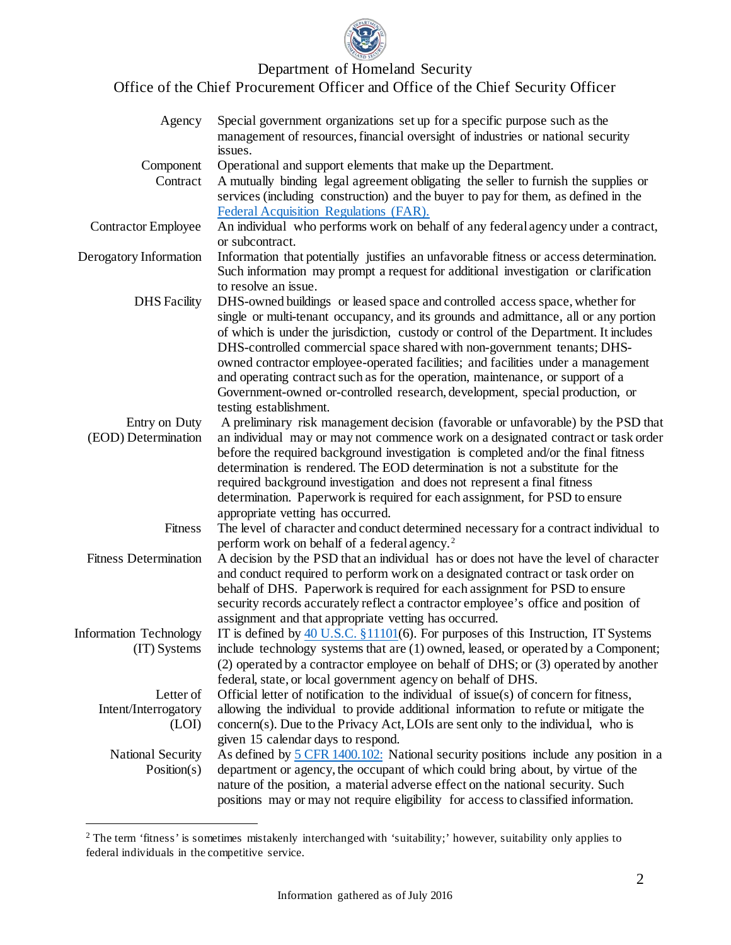

Department of Homeland Security

Office of the Chief Procurement Officer and Office of the Chief Security Officer

| Agency                                  | Special government organizations set up for a specific purpose such as the<br>management of resources, financial oversight of industries or national security<br>issues.                                                                                                                                                                                                                                                                                                                                                                                                                        |  |  |
|-----------------------------------------|-------------------------------------------------------------------------------------------------------------------------------------------------------------------------------------------------------------------------------------------------------------------------------------------------------------------------------------------------------------------------------------------------------------------------------------------------------------------------------------------------------------------------------------------------------------------------------------------------|--|--|
| Component                               | Operational and support elements that make up the Department.                                                                                                                                                                                                                                                                                                                                                                                                                                                                                                                                   |  |  |
| Contract                                | A mutually binding legal agreement obligating the seller to furnish the supplies or<br>services (including construction) and the buyer to pay for them, as defined in the                                                                                                                                                                                                                                                                                                                                                                                                                       |  |  |
|                                         | Federal Acquisition Regulations (FAR).                                                                                                                                                                                                                                                                                                                                                                                                                                                                                                                                                          |  |  |
| <b>Contractor Employee</b>              | An individual who performs work on behalf of any federal agency under a contract,<br>or subcontract.                                                                                                                                                                                                                                                                                                                                                                                                                                                                                            |  |  |
| Derogatory Information                  | Information that potentially justifies an unfavorable fitness or access determination.<br>Such information may prompt a request for additional investigation or clarification<br>to resolve an issue.                                                                                                                                                                                                                                                                                                                                                                                           |  |  |
| <b>DHS</b> Facility                     | DHS-owned buildings or leased space and controlled access space, whether for<br>single or multi-tenant occupancy, and its grounds and admittance, all or any portion<br>of which is under the jurisdiction, custody or control of the Department. It includes<br>DHS-controlled commercial space shared with non-government tenants; DHS-<br>owned contractor employee-operated facilities; and facilities under a management<br>and operating contract such as for the operation, maintenance, or support of a<br>Government-owned or-controlled research, development, special production, or |  |  |
|                                         | testing establishment.                                                                                                                                                                                                                                                                                                                                                                                                                                                                                                                                                                          |  |  |
| Entry on Duty                           | A preliminary risk management decision (favorable or unfavorable) by the PSD that                                                                                                                                                                                                                                                                                                                                                                                                                                                                                                               |  |  |
| (EOD) Determination                     | an individual may or may not commence work on a designated contract or task order<br>before the required background investigation is completed and/or the final fitness<br>determination is rendered. The EOD determination is not a substitute for the<br>required background investigation and does not represent a final fitness                                                                                                                                                                                                                                                             |  |  |
|                                         | determination. Paperwork is required for each assignment, for PSD to ensure                                                                                                                                                                                                                                                                                                                                                                                                                                                                                                                     |  |  |
|                                         | appropriate vetting has occurred.                                                                                                                                                                                                                                                                                                                                                                                                                                                                                                                                                               |  |  |
| Fitness                                 | The level of character and conduct determined necessary for a contract individual to<br>perform work on behalf of a federal agency. <sup>2</sup>                                                                                                                                                                                                                                                                                                                                                                                                                                                |  |  |
| <b>Fitness Determination</b>            | A decision by the PSD that an individual has or does not have the level of character<br>and conduct required to perform work on a designated contract or task order on<br>behalf of DHS. Paperwork is required for each assignment for PSD to ensure<br>security records accurately reflect a contractor employee's office and position of<br>assignment and that appropriate vetting has occurred.                                                                                                                                                                                             |  |  |
| <b>Information Technology</b>           | IT is defined by $40$ U.S.C. $\S$ 11101(6). For purposes of this Instruction, IT Systems                                                                                                                                                                                                                                                                                                                                                                                                                                                                                                        |  |  |
| (IT) Systems                            | include technology systems that are (1) owned, leased, or operated by a Component;<br>(2) operated by a contractor employee on behalf of DHS; or (3) operated by another<br>federal, state, or local government agency on behalf of DHS.                                                                                                                                                                                                                                                                                                                                                        |  |  |
| Letter of                               | Official letter of notification to the individual of issue(s) of concern for fitness,                                                                                                                                                                                                                                                                                                                                                                                                                                                                                                           |  |  |
| Intent/Interrogatory<br>(LOI)           | allowing the individual to provide additional information to refute or mitigate the<br>concern(s). Due to the Privacy Act, LOIs are sent only to the individual, who is                                                                                                                                                                                                                                                                                                                                                                                                                         |  |  |
|                                         | given 15 calendar days to respond.                                                                                                                                                                                                                                                                                                                                                                                                                                                                                                                                                              |  |  |
| <b>National Security</b><br>Position(s) | As defined by 5 CFR 1400.102: National security positions include any position in a<br>department or agency, the occupant of which could bring about, by virtue of the<br>nature of the position, a material adverse effect on the national security. Such<br>positions may or may not require eligibility for access to classified information.                                                                                                                                                                                                                                                |  |  |

<span id="page-1-0"></span><sup>&</sup>lt;sup>2</sup> The term 'fitness' is sometimes mistakenly interchanged with 'suitability;' however, suitability only applies to federal individuals in the competitive service.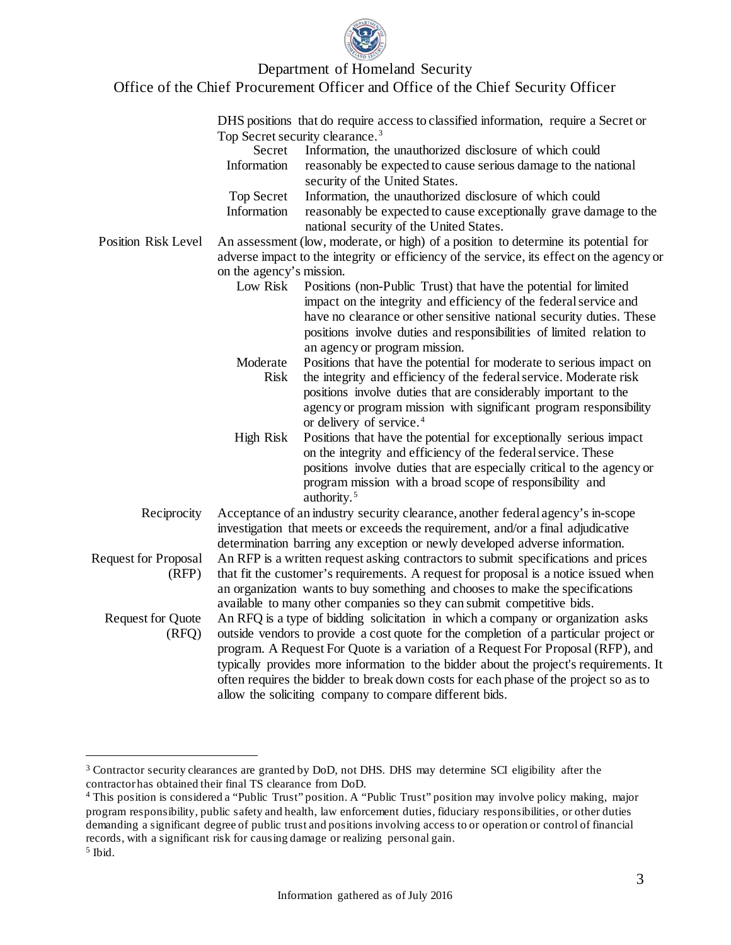

## Department of Homeland Security Office of the Chief Procurement Officer and Office of the Chief Security Officer

|                                      |                                                                                                                                                                                                                                                                                                                                                                                                                                                                                                            | DHS positions that do require access to classified information, require a Secret or                                                                                                                                                                                                                                       |  |  |
|--------------------------------------|------------------------------------------------------------------------------------------------------------------------------------------------------------------------------------------------------------------------------------------------------------------------------------------------------------------------------------------------------------------------------------------------------------------------------------------------------------------------------------------------------------|---------------------------------------------------------------------------------------------------------------------------------------------------------------------------------------------------------------------------------------------------------------------------------------------------------------------------|--|--|
|                                      | Top Secret security clearance. <sup>3</sup>                                                                                                                                                                                                                                                                                                                                                                                                                                                                |                                                                                                                                                                                                                                                                                                                           |  |  |
|                                      | Secret                                                                                                                                                                                                                                                                                                                                                                                                                                                                                                     | Information, the unauthorized disclosure of which could                                                                                                                                                                                                                                                                   |  |  |
|                                      | Information                                                                                                                                                                                                                                                                                                                                                                                                                                                                                                | reasonably be expected to cause serious damage to the national                                                                                                                                                                                                                                                            |  |  |
|                                      |                                                                                                                                                                                                                                                                                                                                                                                                                                                                                                            | security of the United States.                                                                                                                                                                                                                                                                                            |  |  |
|                                      | <b>Top Secret</b>                                                                                                                                                                                                                                                                                                                                                                                                                                                                                          | Information, the unauthorized disclosure of which could                                                                                                                                                                                                                                                                   |  |  |
|                                      | Information                                                                                                                                                                                                                                                                                                                                                                                                                                                                                                | reasonably be expected to cause exceptionally grave damage to the<br>national security of the United States.                                                                                                                                                                                                              |  |  |
| <b>Position Risk Level</b>           |                                                                                                                                                                                                                                                                                                                                                                                                                                                                                                            | An assessment (low, moderate, or high) of a position to determine its potential for                                                                                                                                                                                                                                       |  |  |
|                                      | adverse impact to the integrity or efficiency of the service, its effect on the agency or                                                                                                                                                                                                                                                                                                                                                                                                                  |                                                                                                                                                                                                                                                                                                                           |  |  |
|                                      | on the agency's mission.                                                                                                                                                                                                                                                                                                                                                                                                                                                                                   |                                                                                                                                                                                                                                                                                                                           |  |  |
|                                      | Low Risk                                                                                                                                                                                                                                                                                                                                                                                                                                                                                                   | Positions (non-Public Trust) that have the potential for limited<br>impact on the integrity and efficiency of the federal service and<br>have no clearance or other sensitive national security duties. These<br>positions involve duties and responsibilities of limited relation to<br>an agency or program mission.    |  |  |
|                                      | Moderate<br><b>Risk</b>                                                                                                                                                                                                                                                                                                                                                                                                                                                                                    | Positions that have the potential for moderate to serious impact on<br>the integrity and efficiency of the federal service. Moderate risk<br>positions involve duties that are considerably important to the<br>agency or program mission with significant program responsibility<br>or delivery of service. <sup>4</sup> |  |  |
|                                      | <b>High Risk</b>                                                                                                                                                                                                                                                                                                                                                                                                                                                                                           | Positions that have the potential for exceptionally serious impact<br>on the integrity and efficiency of the federal service. These<br>positions involve duties that are especially critical to the agency or<br>program mission with a broad scope of responsibility and<br>authority. <sup>5</sup>                      |  |  |
| Reciprocity                          | Acceptance of an industry security clearance, another federal agency's in-scope<br>investigation that meets or exceeds the requirement, and/or a final adjudicative                                                                                                                                                                                                                                                                                                                                        |                                                                                                                                                                                                                                                                                                                           |  |  |
| <b>Request for Proposal</b><br>(RFP) | determination barring any exception or newly developed adverse information.<br>An RFP is a written request asking contractors to submit specifications and prices<br>that fit the customer's requirements. A request for proposal is a notice issued when<br>an organization wants to buy something and chooses to make the specifications<br>available to many other companies so they can submit competitive bids.                                                                                       |                                                                                                                                                                                                                                                                                                                           |  |  |
| <b>Request for Quote</b><br>(RFQ)    | An RFQ is a type of bidding solicitation in which a company or organization asks<br>outside vendors to provide a cost quote for the completion of a particular project or<br>program. A Request For Quote is a variation of a Request For Proposal (RFP), and<br>typically provides more information to the bidder about the project's requirements. It<br>often requires the bidder to break down costs for each phase of the project so as to<br>allow the soliciting company to compare different bids. |                                                                                                                                                                                                                                                                                                                           |  |  |

<span id="page-2-0"></span> <sup>3</sup> Contractor security clearances are granted by DoD, not DHS. DHS may determine SCI eligibility after the contractor has obtained their final TS clearance from DoD.

<span id="page-2-2"></span><span id="page-2-1"></span><sup>4</sup> This position is considered a "Public Trust" position. A "Public Trust" position may involve policy making, major program responsibility, public safety and health, law enforcement duties, fiduciary responsibilities, or other duties demanding a significant degree of public trust and positions involving access to or operation or control of financial records, with a significant risk for causing damage or realizing personal gain. <sup>5</sup> Ibid.